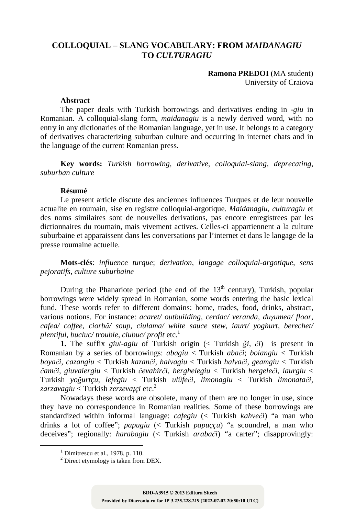## **COLLOQUIAL – SLANG VOCABULARY: FROM** *MAIDANAGIU*  **TO** *CULTURAGIU*

**Ramona PREDOI** (MA student) University of Craiova

## **Abstract**

The paper deals with Turkish borrowings and derivatives ending in -*giu* in Romanian. A colloquial-slang form, *maidanagiu* is a newly derived word, with no entry in any dictionaries of the Romanian language, yet in use. It belongs to a category of derivatives characterizing suburban culture and occurring in internet chats and in the language of the current Romanian press.

**Key words:** *Turkish borrowing*, *derivative*, *colloquial-slang*, *deprecating*, *suburban culture* 

## **Résumé**

Le present article discute des anciennes influences Turques et de leur nouvelle actualite en roumain, sise en registre colloquial-argotique. *Maidanagiu*, *culturagiu* et des noms similaires sont de nouvelles derivations, pas encore enregistrees par les dictionnaires du roumain, mais vivement actives. Celles-ci appartiennent a la culture suburbaine et apparaissent dans les conversations par l'internet et dans le langage de la presse roumaine actuelle.

**Mots-clés**: *influence turque*; *derivation*, *langage colloquial-argotique*, *sens pejoratifs*, *culture suburbaine*

During the Phanariote period (the end of the  $13<sup>th</sup>$  century), Turkish, popular borrowings were widely spread in Romanian, some words entering the basic lexical fund. These words refer to different domains: home, trades, food, drinks, abstract, various notions. For instance: *acaret/ outbuilding*, *cerdac/ veranda*, *duşumea/ floor*, *cafea/ coffee*, *ciorbă/ soup*, *ciulama/ white sauce stew*, *iaurt/ yoghurt*, *berechet/ plentiful*, *bucluc/ trouble*, *ciubuc/ profit* etc.<sup>1</sup>

**1.** The suffix *giu*/-*agiu* of Turkish origin (< Turkish *ği*, *či*) is present in Romanian by a series of borrowings: *abagiu* < Turkish *abači*; *boiangiu* < Turkish *boyači*, *cazangiu* < Turkish *kazanči*, *halvagiu* < Turkish *halvači*, *geamgiu* < Turkish *čamči*, *giuvaiergiu* < Turkish *čevahirči*, *herghelegiu* < Turkish *hergeleči*, *iaurgiu* < Turkish *yoğurtçu*, *lefegiu* < Turkish *ulûfeči*, *limonagiu* < Turkish *limonatači*, *zarzavagiu* < Turkish *zerzevaţçi* etc.<sup>2</sup>

Nowadays these words are obsolete, many of them are no longer in use, since they have no correspondence in Romanian realities. Some of these borrowings are standardized within informal language: *cafegiu* (< Turkish *kahveči*) "a man who drinks a lot of coffee"; *papugiu* (< Turkish *papuççu*) "a scoundrel, a man who deceives"; regionally: *harabagiu* (< Turkish *arabači*) "a carter"; disapprovingly:

 $\overline{a}$ 

 $<sup>1</sup>$  Dimitrescu et al., 1978, p. 110.</sup>

<sup>&</sup>lt;sup>2</sup> Direct etymology is taken from DEX.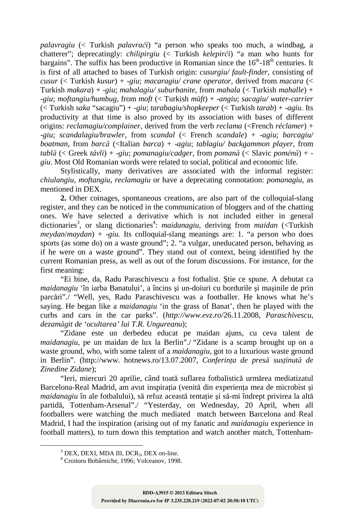*palavragiu* (< Turkish *palavrači*) "a person who speaks too much, a windbag, a chatterer"; deprecatingly: *chilipirgiu* (< Turkish *kelepirči*) "a man who hunts for bargains". The suffix has been productive in Romanian since the  $16<sup>th</sup>$ -18<sup>th</sup> centuries. It is first of all attached to bases of Turkish origin: *cusurgiu/ fault-finder*, consisting of *cusur* (< Turkish *kusur*) + -*giu*; *macaragiu/ crane operator*, derived from *macara* (< Turkish *makara*) + -*giu*; *mahalagiu/ suburbanite*, from *mahala* (< Turkish *mahalle*) + -*giu*; *moftangiu/humbug*, from *moft* (< Turkish *müft*) + -*angiu*; *sacagiu/ water-carrier* (< Turkish *saka* "sacagiu") + -*giu*; *tarabagiu/shopkeeper* (< Turkish *tarab*) + -*agiu*. Its productivity at that time is also proved by its association with bases of different origins: *reclamagiu/complainer*, derived from the verb *reclama* (<French *réclamer*) + -*giu*; *scandalagiu/brawler*, from *scandal* (< French *scandale*) + -*agiu*; *barcagiu/ boatman*, from *barcă* (<Italian *barca*) + -*agiu*; *tablagiu/ backgammon player*, from *tablă* (< Greek *távli*) + -*giu*; *pomanagiu/cadger*, from *pomană* (< Slavic *poměnŭ*) + *giu*. Most Old Romanian words were related to social, political and economic life.

Stylistically, many derivatives are associated with the informal register: *chiulangiu*, *moftangiu*, *reclamagiu* or have a deprecating connotation: *pomanagiu*, as mentioned in DEX.

**2.** Other coinages, spontaneous creations, are also part of the colloquial-slang register, and they can be noticed in the communication of bloggers and of the chatting ones. We have selected a derivative which is not included either in general dictionaries<sup>3</sup>, or slang dictionaries<sup>4</sup>: *maidanagiu*, deriving from *maidan* (<Turkish *meydan*/*maydan*) + -*giu.* Its colloquial-slang meanings are: 1. "a person who does sports (as some do) on a waste ground"; 2. "a vulgar, uneducated person, behaving as if he were on a waste ground". They stand out of context, being identified by the current Romanian press, as well as out of the forum discussions. For instance, for the first meaning:

"Ei bine, da, Radu Paraschivescu a fost fotbalist. Ştie ce spune. A debutat ca *maidanagiu* 'în iarba Banatului', a încins şi un-doiuri cu bordurile şi maşinile de prin parcări"./ "Well, yes, Radu Paraschivescu was a footballer. He knows what he's saying. He began like a *maidanagiu* 'in the grass of Banat', then he played with the curbs and cars in the car parks". (*http://www.evz.ro*/26.11.2008, *Paraschivescu*, *dezamăgit de 'ocultarea' lui T.R. Ungureanu*);

"Zidane este un derbedeu educat pe maidan ajuns, cu ceva talent de *maidanagiu*, pe un maidan de lux la Berlin"./ "Zidane is a scamp brought up on a waste ground, who, with some talent of a *maidanagiu*, got to a luxurious waste ground in Berlin". (http://www. hotnews.ro/13.07.2007, *Conferinţa de presă susţinută de Zinedine Zidane*);

"Ieri, miercuri 20 aprilie, când toată suflarea fotbalistică urmărea mediatizatul Barcelona-Real Madrid, am avut inspiratia (venită din experienta mea de microbist și *maidanagiu* în ale fotbalului), să refuz această tentație și să-mi îndrept privirea la altă partidă, Tottenham-Arsenal"./ "Yesterday, on Wednesday, 20 April, when all footballers were watching the much mediated match between Barcelona and Real Madrid, I had the inspiration (arising out of my fanatic and *maidanagiu* experience in football matters), to turn down this temptation and watch another match, Tottenham-

 $\overline{a}$ 

 $3$  DEX, DEXI, MDA III, DCR<sub>3</sub>, DEX on-line.

<sup>4</sup> Croitoru Bobârniche, 1996; Volceanov, 1998.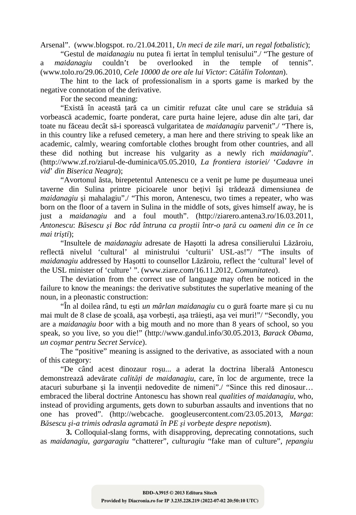Arsenal". (www.blogspot. ro./21.04.2011, *Un meci de zile mari*, *un regal fotbalistic*);

"Gestul de *maidanagiu* nu putea fi iertat în templul tenisului"./ "The gesture of *aidanagiu* couldn't be overlooked in the temple of tennis". a *maidanagiu* couldn't be overlooked in the temple of (www.tolo.ro/29.06.2010, *Cele 10000 de ore ale lui Victor*: *Cătălin Tolontan*).

The hint to the lack of professionalism in a sports game is marked by the negative connotation of the derivative.

For the second meaning:

"Există în această tară ca un cimitir refuzat câte unul care se străduia să vorbească academic, foarte ponderat, care purta haine lejere, aduse din alte tari, dar toate nu făceau decât să-i sporească vulgaritatea de *maidanagiu* parvenit"./ "There is, in this country like a refused cemetery, a man here and there striving to speak like an academic, calmly, wearing comfortable clothes brought from other countries, and all these did nothing but increase his vulgarity as a newly rich *maidanagiu*". (http://www.zf.ro/ziarul-de-duminica/05.05.2010, *La frontiera istoriei/* '*Cadavre in vid*' *din Biserica Neagra*);

"Avortonul ăsta, birepetentul Antenescu ce a venit pe lume pe duşumeaua unei taverne din Sulina printre picioarele unor beţivi îşi trădează dimensiunea de *maidanagiu* si mahalagiu"./ "This moron, Antenescu, two times a repeater, who was born on the floor of a tavern in Sulina in the middle of sots, gives himself away, he is just a *maidanagiu* and a foul mouth". (http://ziarero.antena3.ro/16.03.2011, *Antonescu*: *Băsescu şi Boc râd întruna ca proştii într-o ţară cu oameni din ce în ce mai trişti*);

"Insultele de *maidanagiu* adresate de Haşotti la adresa consilierului Lăzăroiu, reflectă nivelul 'cultural' al ministrului 'culturii' USL-as!"/ "The insults of *maidanagiu* addressed by Haşotti to counsellor Lăzăroiu, reflect the 'cultural' level of the USL minister of 'culture' ". (www.ziare.com/16.11.2012, *Comunitatea*).

The deviation from the correct use of language may often be noticed in the failure to know the meanings: the derivative substitutes the superlative meaning of the noun, in a pleonastic construction:

"În al doilea rând, tu eşti *un mârlan maidanagiu* cu o gură foarte mare şi cu nu mai mult de 8 clase de şcoală, aşa vorbeşti, aşa trăieşti, aşa vei muri!"/ "Secondly, you are a *maidanagiu boor* with a big mouth and no more than 8 years of school, so you speak, so you live, so you die!" (http://www.gandul.info/30.05.2013, *Barack Obama*, *un coşmar pentru Secret Service*).

The "positive" meaning is assigned to the derivative, as associated with a noun of this category:

"De când acest dinozaur roşu... a aderat la doctrina liberală Antonescu demonstrează adevărate *calităţi de maidanagiu*, care, în loc de argumente, trece la atacuri suburbane si la inventii nedovedite de nimeni"./ "Since this red dinosaur... embraced the liberal doctrine Antonescu has shown real *qualities of maidanagiu*, who, instead of providing arguments, gets down to suburban assaults and inventions that no one has proved". (http://webcache. googleusercontent.com/23.05.2013, *Marga*: *Băsescu şi-a trimis odrasla agramată în PE şi vorbeşte despre nepotism*).

 **3.** Colloquial-slang forms, with disapproving, deprecating connotations, such as *maidanagiu*, *gargaragiu* "chatterer", *culturagiu* "fake man of culture", *ţepangiu*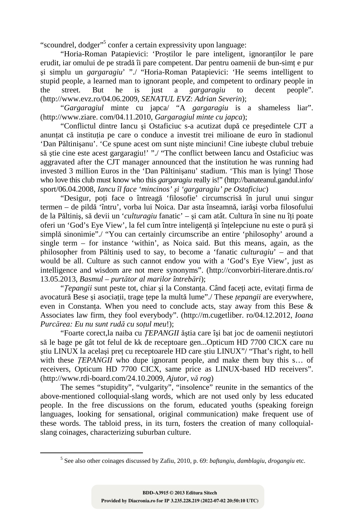"scoundrel, dodger"<sup>5</sup> confer a certain expressivity upon language:

"Horia-Roman Patapievici: 'Prostilor le pare inteligent, ignorantilor le pare erudit, iar omului de pe stradă îi pare competent. Dar pentru oamenii de bun-simt e pur şi simplu un *gargaragiu*' "./ "Horia-Roman Patapievici: 'He seems intelligent to stupid people, a learned man to ignorant people, and competent to ordinary people in the street. But he is just a *gargaragiu* to decent people". (http://www.evz.ro/04.06.2009, *SENATUL EVZ*: *Adrian Severin*);

"*Gargaragiul* minte cu japca/ "A *gargaragiu* is a shameless liar". (http://www.ziare. com/04.11.2010, *Gargaragiul minte cu japca*);

"Conflictul dintre Iancu şi Ostaficiuc s-a acutizat după ce preşedintele CJT a anuntat că instituția pe care o conduce a investit trei milioane de euro în stadionul 'Dan Păltinişanu'. 'Ce spune acest om sunt nişte minciuni! Cine iubeşte clubul trebuie să ştie cine este acest gargaragiu!' "./ "The conflict between Iancu and Ostaficiuc was aggravated after the CJT manager announced that the institution he was running had invested 3 million Euros in the 'Dan Păltinişanu' stadium. 'This man is lying! Those who love this club must know who this *gargaragiu* really is!" (http://banateanul.gandul.info/ sport/06.04.2008, *Iancu îl face 'mincinos' şi 'gargaragiu' pe Ostaficiuc*)

"Desigur, poţi face o întreagă 'filosofie' circumscrisă în jurul unui singur termen – de pildă 'întru', vorba lui Noica. Dar asta înseamnă, iarăşi vorba filosofului de la Păltiniș, să devii un '*culturagiu* fanatic' – și cam atât. Cultura în sine nu îți poate oferi un 'God's Eye View', la fel cum între inteligentă și întelepciune nu este o pură și simplă sinonimie"./ "You can certainly circumscribe an entire 'philosophy' around a single term – for instance 'within', as Noica said. But this means, again, as the philosopher from Păltiniş used to say, to become a 'fanatic *culturagiu*' – and that would be all. Culture as such cannot endow you with a 'God's Eye View', just as intelligence and wisdom are not mere synonyms". (http://convorbiri-literare.dntis.ro/ 13.05.2013, *Basmul – purtător al marilor întrebări*);

"*Ţepangii* sunt peste tot, chiar şi la Constanţa. Când faceţi acte, evitaţi firma de avocatură Bese şi asociaţii, trage ţepe la multă lume"./ These *ţepangii* are everywhere, even in Constanta. When you need to conclude acts, stay away from this Bese  $\&$ Associates law firm, they fool everybody". (http://m.cugetliber. ro/04.12.2012, *Ioana Purcărea: Eu nu sunt rudă cu soţul meu*!);

"Foarte corect,la naiba cu *ŢEPANGII* ăştia care îşi bat joc de oamenii neştiutori să le bage pe gât tot felul de kk de receptoare gen...Opticum HD 7700 CICX care nu ştiu LINUX la acelaşi preţ cu receptoarele HD care ştiu LINUX"/ "That's right, to hell with these *TEPANGII* who dupe ignorant people, and make them buy this s... of receivers, Opticum HD 7700 CICX, same price as LINUX-based HD receivers". (http://www.rdi-board.com/24.10.2009, *Ajutor*, *vă rog*)

The semes "stupidity", "vulgarity", "insolence" reunite in the semantics of the above-mentioned colloquial-slang words, which are not used only by less educated people. In the free discussions on the forum, educated youths (speaking foreign languages, looking for sensational, original communication) make frequent use of these words. The tabloid press, in its turn, fosters the creation of many colloquialslang coinages, characterizing suburban culture.

 $\overline{a}$ 

<sup>5</sup> See also other coinages discussed by Zafiu, 2010, p. 69: *baftangiu*, *damblagiu*, *drogangiu* etc.